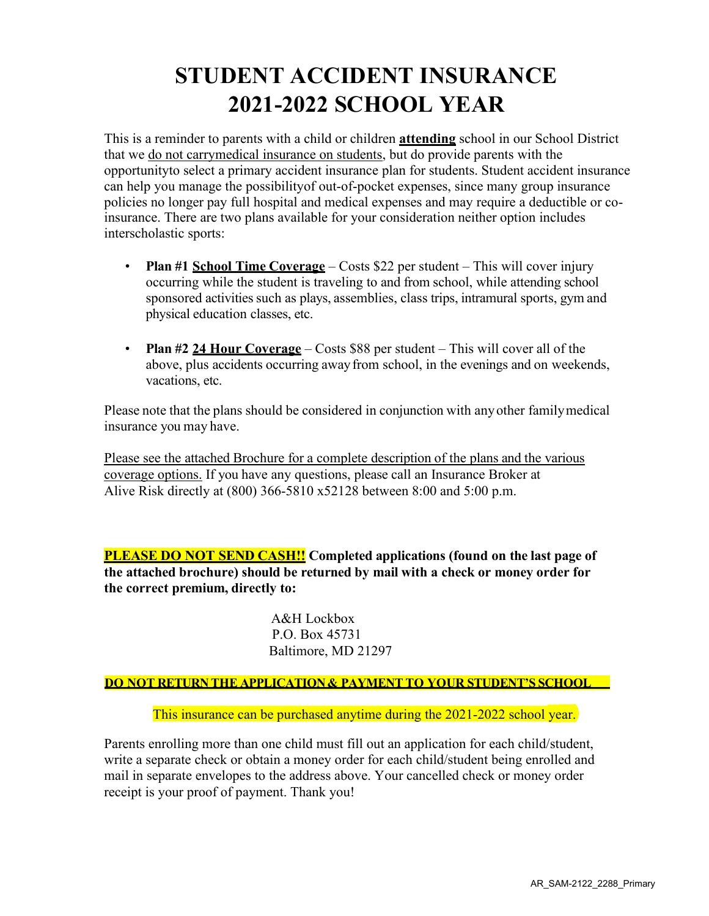### **STUDENT ACCIDENT INSURANCE 2021-2022 SCHOOL YEAR**

This is a reminder to parents with a child or children **attending** school in our School District that we do not carrymedical insurance on students, but do provide parents with the opportunityto select a primary accident insurance plan for students. Student accident insurance can help you manage the possibilityof out-of-pocket expenses, since many group insurance policies no longer pay full hospital and medical expenses and may require a deductible or coinsurance. There are two plans available for your consideration neither option includes interscholastic sports:

- **Plan #1 School Time Coverage** Costs \$22 per student This will cover injury occurring while the student is traveling to and from school, while attending school sponsored activities such as plays, assemblies, class trips, intramural sports, gym and physical education classes, etc.
- **Plan #2 24 Hour Coverage** Costs \$88 per student This will cover all of the above, plus accidents occurring awayfrom school, in the evenings and on weekends, vacations, etc.

Please note that the plans should be considered in conjunction with anyother familymedical insurance you may have.

Please see the attached Brochure for a complete description of the plans and the various coverage options. If you have any questions, please call an Insurance Broker at Alive Risk directly at (800) 366-5810 x52128 between 8:00 and 5:00 p.m.

**PLEASE DO NOT SEND CASH!! Completed applications (found on the last page of the attached brochure) should be returned by mail with a check or money order for the correct premium, directly to:**

> A&H Lockbox P.O. Box 45731 Baltimore, MD 21297

#### **DO NOT RETURN THE APPLICATION& PAYMENT TO YOUR STUDENT'S SCHOOL**

This insurance can be purchased anytime during the 2021-2022 school year.

Parents enrolling more than one child must fill out an application for each child/student, write a separate check or obtain a money order for each child/student being enrolled and mail in separate envelopes to the address above. Your cancelled check or money order receipt is your proof of payment. Thank you!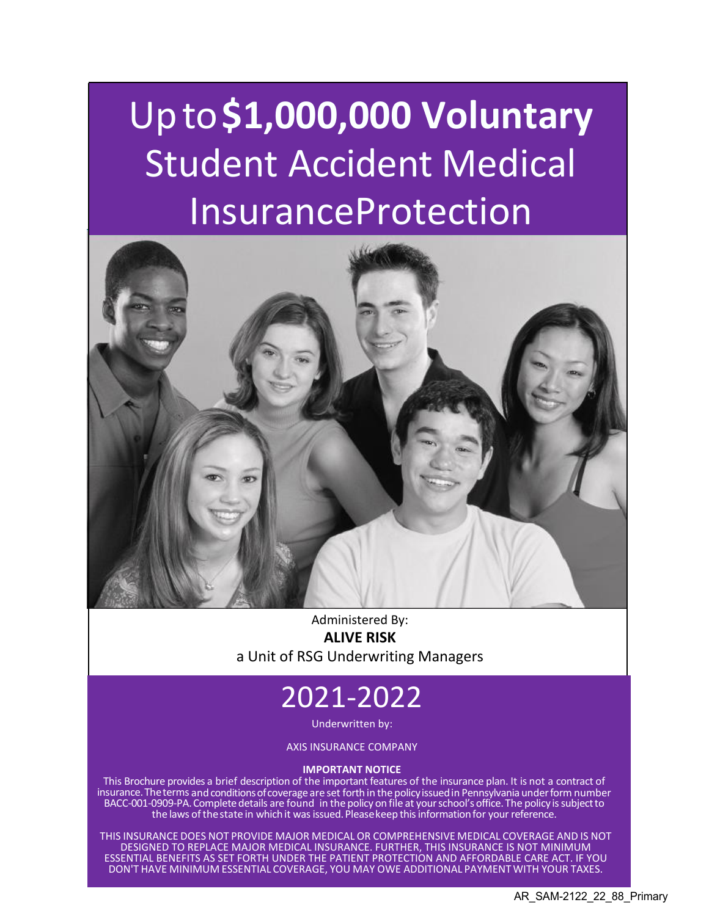# Upto**\$1,000,000 Voluntary**  Student Accident Medical InsuranceProtection



Administered By: **ALIVE RISK** a Unit of RSG Underwriting Managers

## 2021-2022

Underwritten by:

AXIS INSURANCE COMPANY

#### **IMPORTANT NOTICE**

This Brochure provides a brief description of the important features of the insurance plan. It is not a contract of insurance.Theterms andconditionsofcoverage are set forth in thepolicyissuedin Pennsylvania underform number BACC-001-0909-PA. Complete details are found in the policy on file at your school's office. The policy is subject to the laws of the state in which it was issued. Please keep this information for your reference.

THIS INSURANCE DOES NOT PROVIDE MAJOR MEDICAL OR COMPREHENSIVE MEDICAL COVERAGE AND IS NOT DESIGNED TO REPLACE MAJOR MEDICAL INSURANCE. FURTHER, THIS INSURANCE IS NOT MINIMUM ESSENTIAL BENEFITS AS SET FORTH UNDER THE PATIENT PROTECTION AND AFFORDABLE CARE ACT. IF YOU DON'T HAVE MINIMUM ESSENTIAL COVERAGE, YOU MAY OWE ADDITIONAL PAYMENT WITH YOUR TAXES.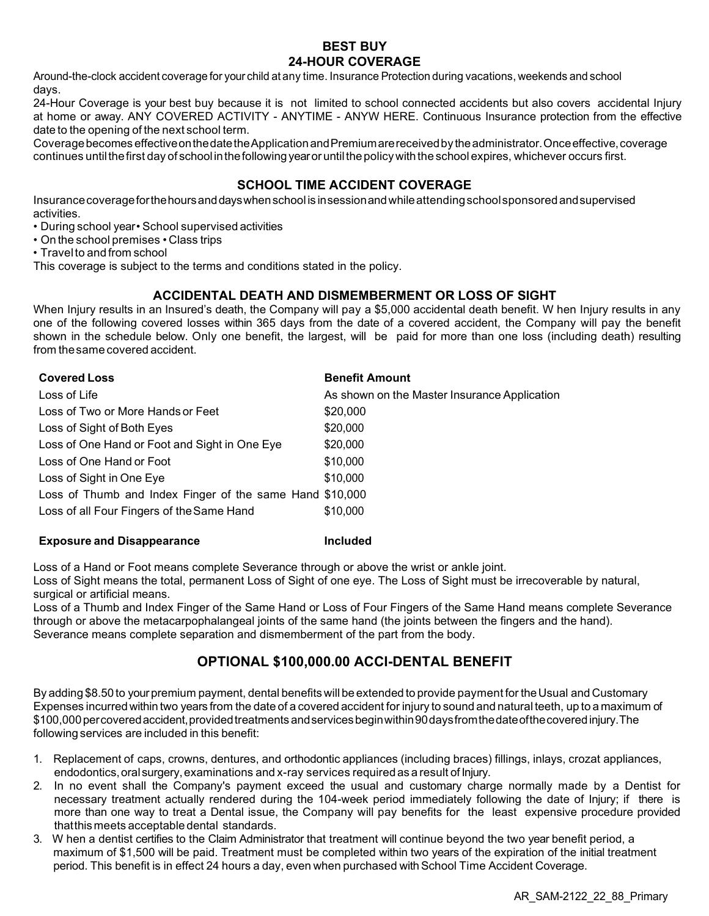#### **BEST BUY 24-HOUR COVERAGE**

Around-the-clock accident coverage for your child at any time. Insurance Protection during vacations, weekends and school days.

24-Hour Coverage is your best buy because it is not limited to school connected accidents but also covers accidental Injury at home or away. ANY COVERED ACTIVITY - ANYTIME - ANYW HERE. Continuous Insurance protection from the effective date to the opening of the next school term.

Coveragebecomes effectiveonthedatetheApplicationandPremiumarereceivedby theadministrator.Onceeffective,coverage continues until the first day of school in the following year or until the policy with the school expires, whichever occurs first.

#### **SCHOOL TIME ACCIDENT COVERAGE**

Insurancecoverageforthehoursanddayswhenschool is insessionandwhileattendingschoolsponsoredandsupervised activities.

- During school year• School supervised activities
- On the school premises Class trips
- Travelto and from school

This coverage is subject to the terms and conditions stated in the policy.

#### **ACCIDENTAL DEATH AND DISMEMBERMENT OR LOSS OF SIGHT**

When Injury results in an Insured's death, the Company will pay a \$5,000 accidental death benefit. W hen Injury results in any one of the following covered losses within 365 days from the date of a covered accident, the Company will pay the benefit shown in the schedule below. Only one benefit, the largest, will be paid for more than one loss (including death) resulting from thesame covered accident.

| <b>Covered Loss</b>                                      | <b>Benefit Amount</b>                        |
|----------------------------------------------------------|----------------------------------------------|
| Loss of Life                                             | As shown on the Master Insurance Application |
| Loss of Two or More Hands or Feet                        | \$20,000                                     |
| Loss of Sight of Both Eyes                               | \$20,000                                     |
| Loss of One Hand or Foot and Sight in One Eye            | \$20,000                                     |
| Loss of One Hand or Foot                                 | \$10,000                                     |
| Loss of Sight in One Eye                                 | \$10,000                                     |
| Loss of Thumb and Index Finger of the same Hand \$10,000 |                                              |
| Loss of all Four Fingers of the Same Hand                | \$10,000                                     |

#### **Exposure and Disappearance Included**

Loss of a Hand or Foot means complete Severance through or above the wrist or ankle joint.

Loss of Sight means the total, permanent Loss of Sight of one eye. The Loss of Sight must be irrecoverable by natural, surgical or artificial means.

Loss of a Thumb and Index Finger of the Same Hand or Loss of Four Fingers of the Same Hand means complete Severance through or above the metacarpophalangeal joints of the same hand (the joints between the fingers and the hand). Severance means complete separation and dismemberment of the part from the body.

#### **OPTIONAL \$100,000.00 ACCI-DENTAL BENEFIT**

By adding \$8.50 to yourpremium payment, dental benefits will be extended to provide payment for theUsual and Customary Expenses incurredwithin two years from the date of a covered accident for injury to sound and natural teeth, up to a maximum of \$100,000percoveredaccident,providedtreatments andservicesbeginwithin90daysfromthedateofthecoveredinjury.The following services are included in this benefit:

- 1. Replacement of caps, crowns, dentures, and orthodontic appliances (including braces) fillings, inlays, crozat appliances, endodontics,oralsurgery,examinations and x-ray services required as a result of Injury.
- 2. In no event shall the Company's payment exceed the usual and customary charge normally made by a Dentist for necessary treatment actually rendered during the 104-week period immediately following the date of Injury; if there is more than one way to treat a Dental issue, the Company will pay benefits for the least expensive procedure provided thatthismeets acceptable dental standards.
- 3. W hen a dentist certifies to the Claim Administrator that treatment will continue beyond the two year benefit period, a maximum of \$1,500 will be paid. Treatment must be completed within two years of the expiration of the initial treatment period. This benefit is in effect 24 hours a day, even when purchased with School Time Accident Coverage.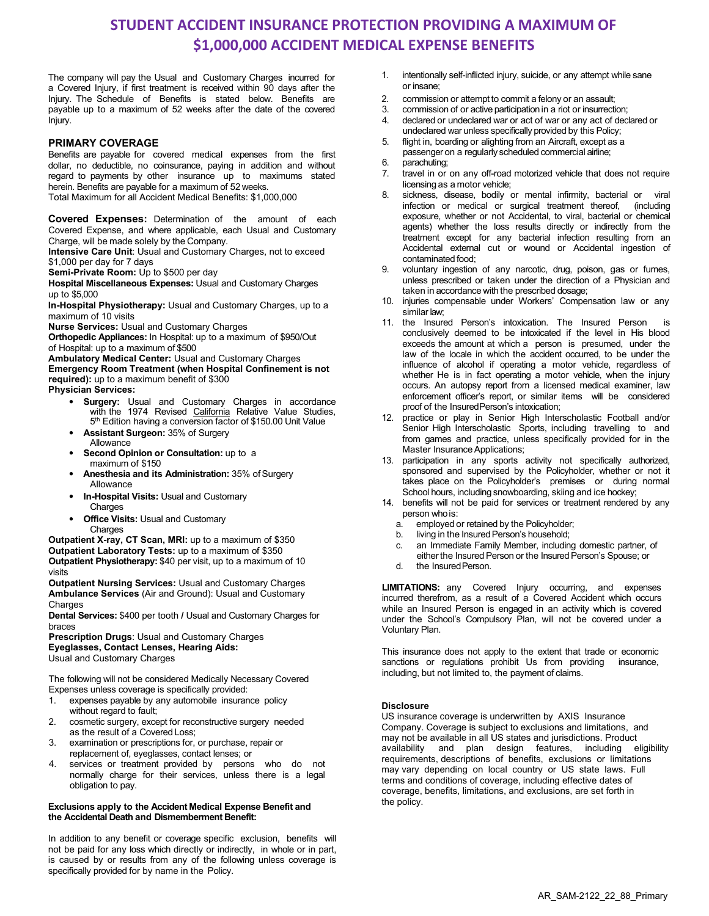### **STUDENT ACCIDENT INSURANCE PROTECTION PROVIDING A MAXIMUM OF \$1,000,000 ACCIDENT MEDICAL EXPENSE BENEFITS**

The company will pay the Usual and Customary Charges incurred for a Covered Injury, if first treatment is received within 90 days after the Injury. The Schedule of Benefits is stated below. Benefits are payable up to a maximum of 52 weeks after the date of the covered Injury.

#### **PRIMARY COVERAGE**

Benefits are payable for covered medical expenses from the first dollar, no deductible, no coinsurance, paying in addition and without regard to payments by other insurance up to maximums stated herein. Benefits are payable for a maximum of 52 weeks. Total Maximum for all Accident Medical Benefits: \$1,000,000

**Covered Expenses:** Determination of the amount of each Covered Expense, and where applicable, each Usual and Customary Charge, will be made solely by the Company.

**Intensive Care Unit**: Usual and Customary Charges, not to exceed \$1,000 per day for 7 days

**Semi-Private Room:** Up to \$500 per day

**Hospital Miscellaneous Expenses:** Usual and Customary Charges up to \$5,000

**In-Hospital Physiotherapy:** Usual and Customary Charges, up to a maximum of 10 visits

**Nurse Services:** Usual and Customary Charges

**Orthopedic Appliances:** In Hospital: up to a maximum of \$950/Out of Hospital: up to a maximum of \$500

**Ambulatory Medical Center:** Usual and Customary Charges **Emergency Room Treatment (when Hospital Confinement is not required):** up to a maximum benefit of \$300 **Physician Services:**

- **Surgery:** Usual and Customary Charges in accordance with the 1974 Revised California Relative Value Studies, 5<sup>th</sup> Edition having a conversion factor of \$150.00 Unit Value
- **Assistant Surgeon:** 35% of Surgery Allowance
- **Second Opinion or Consultation:** up to a maximum of \$150
- **Anesthesia and its Administration: 35% of Surgery** Allowance
- **In-Hospital Visits:** Usual and Customary **Charges**
- **Office Visits:** Usual and Customary Charges

**Outpatient X-ray, CT Scan, MRI:** up to a maximum of \$350 **Outpatient Laboratory Tests:** up to a maximum of \$350 **Outpatient Physiotherapy:** \$40 per visit, up to a maximum of 10 visits

**Outpatient Nursing Services:** Usual and Customary Charges **Ambulance Services** (Air and Ground): Usual and Customary **Charges** 

**Dental Services:** \$400 per tooth **/** Usual and Customary Charges for braces

**Prescription Drugs**: Usual and Customary Charges **Eyeglasses, Contact Lenses, Hearing Aids:** Usual and Customary Charges

The following will not be considered Medically Necessary Covered Expenses unless coverage is specifically provided:

- 1. expenses payable by any automobile insurance policy without regard to fault;
- 2. cosmetic surgery, except for reconstructive surgery needed as the result of a Covered Loss;
- 3. examination or prescriptions for, or purchase, repair or replacement of, eyeglasses, contact lenses; or
- 4. services or treatment provided by persons who do not normally charge for their services, unless there is a legal obligation to pay.

#### **Exclusions apply to the Accident Medical Expense Benefit and the Accidental Death and Dismemberment Benefit:**

In addition to any benefit or coverage specific exclusion, benefits will not be paid for any loss which directly or indirectly, in whole or in part, is caused by or results from any of the following unless coverage is specifically provided for by name in the Policy.

- 1. intentionally self-inflicted injury, suicide, or any attempt while sane or insane;
- 2. commission or attempt to commit a felony or an assault;<br>3. commission of or active participation in a riot or insurrecti
- commission of or active participation in a riot or insurrection;
- 4. declared or undeclared war or act of war or any act of declared or undeclared war unless specifically provided by this Policy;
- 5. flight in, boarding or alighting from an Aircraft, except as a passenger on a regularly scheduled commercial airline;
- 6. parachuting;
- 7. travel in or on any off-road motorized vehicle that does not require licensing as a motor vehicle;
- 8. sickness, disease, bodily or mental infirmity, bacterial or viral infection or medical or surgical treatment thereof, (including exposure, whether or not Accidental, to viral, bacterial or chemical agents) whether the loss results directly or indirectly from the treatment except for any bacterial infection resulting from an Accidental external cut or wound or Accidental ingestion of contaminated food;
- 9. voluntary ingestion of any narcotic, drug, poison, gas or fumes, unless prescribed or taken under the direction of a Physician and taken in accordance with the prescribed dosage;
- 10. injuries compensable under Workers' Compensation law or any similar law;
- 11. the Insured Person's intoxication. The Insured Person is conclusively deemed to be intoxicated if the level in His blood exceeds the amount at which a person is presumed, under the law of the locale in which the accident occurred, to be under the influence of alcohol if operating a motor vehicle, regardless of whether He is in fact operating a motor vehicle, when the injury occurs. An autopsy report from a licensed medical examiner, law enforcement officer's report, or similar items will be considered proof of the InsuredPerson's intoxication;
- 12. practice or play in Senior High Interscholastic Football and/or Senior High Interscholastic Sports, including travelling to and from games and practice, unless specifically provided for in the Master Insurance Applications;
- 13. participation in any sports activity not specifically authorized, sponsored and supervised by the Policyholder, whether or not it takes place on the Policyholder's premises or during normal School hours, including snowboarding, skiing and ice hockey;
- 14. benefits will not be paid for services or treatment rendered by any person whois:
	- a. employed or retained by the Policyholder;
	- b. living in the Insured Person's household;
	- c. an Immediate Family Member, including domestic partner, of
	- either the Insured Person or the Insured Person's Spouse; or
	- d. the InsuredPerson.

**LIMITATIONS:** any Covered Injury occurring, and expenses incurred therefrom, as a result of a Covered Accident which occurs while an Insured Person is engaged in an activity which is covered under the School's Compulsory Plan, will not be covered under a Voluntary Plan.

This insurance does not apply to the extent that trade or economic sanctions or regulations prohibit Us from providing insurance, including, but not limited to, the payment of claims.

#### **Disclosure**

US insurance coverage is underwritten by AXIS Insurance Company. Coverage is subject to exclusions and limitations, and may not be available in all US states and jurisdictions. Product availability and plan design features, including eligibility requirements, descriptions of benefits, exclusions or limitations may vary depending on local country or US state laws. Full terms and conditions of coverage, including effective dates of coverage, benefits, limitations, and exclusions, are set forth in the policy.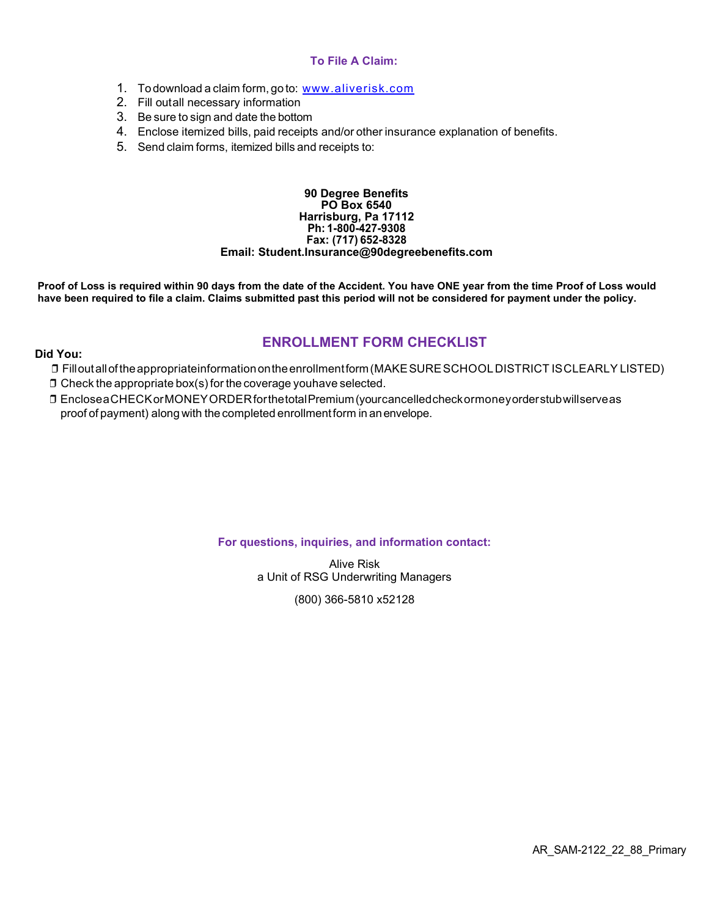#### **To File A Claim:**

- 1. To download a claim form, go to: [www.aliverisk.com](https://aliverisk.com/wp-content/uploads/2021/06/AXIS-2019-Claimform.pdf)
- 2. Fill outall necessary information
- 3. Be sure to sign and date the bottom
- 4. Enclose itemized bills, paid receipts and/or other insurance explanation of benefits.
- 5. Send claim forms, itemized bills and receipts to:

#### **90 Degree Benefits PO Box 6540 Harrisburg, Pa 17112 Ph: 1-800-427-9308 Fax: (717) 652-8328 Email: [Student.Insurance@90degreebenefits.com](mailto:Student.Insurance@90degreebenefits.com)**

**Proof of Loss is required within 90 days from the date of the Accident. You have ONE year from the time Proof of Loss would have been required to file a claim. Claims submitted past this period will not be considered for payment under the policy.**

#### **ENROLLMENT FORM CHECKLIST**

#### **Did You:**

- ❒ Filloutalloftheappropriateinformationontheenrollmentform(MAKESURESCHOOLDISTRICT ISCLEARLY LISTED)
- $\square$  Check the appropriate box(s) for the coverage youhave selected.
- ❒ EncloseaCHECKorMONEYORDERforthetotalPremium(yourcancelledcheckormoneyorderstubwillserveas proof of payment) along with the completed enrollmentform in anenvelope.

#### **For questions, inquiries, and information contact:**

Alive Risk a Unit of RSG Underwriting Managers

(800) 366-5810 x52128